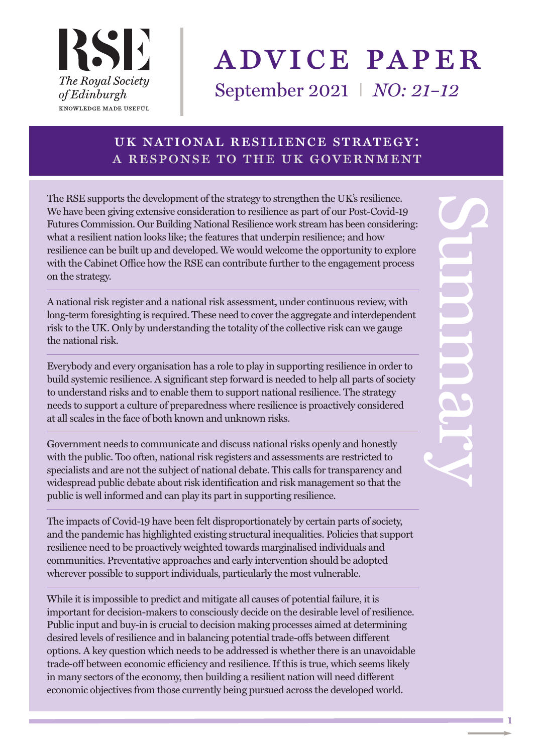# advice paper

September 2021 I *NO: 21–12*

## uk national resilience strategy: a response to the uk government

The RSE supports the development of the strategy to strengthen the UK's resilience. We have been giving extensive consideration to resilience as part of our Post-Covid-19 Futures Commission. Our Building National Resilience work stream has been considering: what a resilient nation looks like; the features that underpin resilience; and how resilience can be built up and developed. We would welcome the opportunity to explore with the Cabinet Office how the RSE can contribute further to the engagement process on the strategy.

A national risk register and a national risk assessment, under continuous review, with long-term foresighting is required. These need to cover the aggregate and interdependent risk to the UK. Only by understanding the totality of the collective risk can we gauge the national risk.

Everybody and every organisation has a role to play in supporting resilience in order to build systemic resilience. A significant step forward is needed to help all parts of society to understand risks and to enable them to support national resilience. The strategy needs to support a culture of preparedness where resilience is proactively considered at all scales in the face of both known and unknown risks.

Government needs to communicate and discuss national risks openly and honestly with the public. Too often, national risk registers and assessments are restricted to specialists and are not the subject of national debate. This calls for transparency and widespread public debate about risk identification and risk management so that the public is well informed and can play its part in supporting resilience.

The impacts of Covid-19 have been felt disproportionately by certain parts of society, and the pandemic has highlighted existing structural inequalities. Policies that support resilience need to be proactively weighted towards marginalised individuals and communities. Preventative approaches and early intervention should be adopted wherever possible to support individuals, particularly the most vulnerable.

While it is impossible to predict and mitigate all causes of potential failure, it is important for decision-makers to consciously decide on the desirable level of resilience. Public input and buy-in is crucial to decision making processes aimed at determining desired levels of resilience and in balancing potential trade-offs between different options. A key question which needs to be addressed is whether there is an unavoidable trade-off between economic efficiency and resilience. If this is true, which seems likely in many sectors of the economy, then building a resilient nation will need different economic objectives from those currently being pursued across the developed world.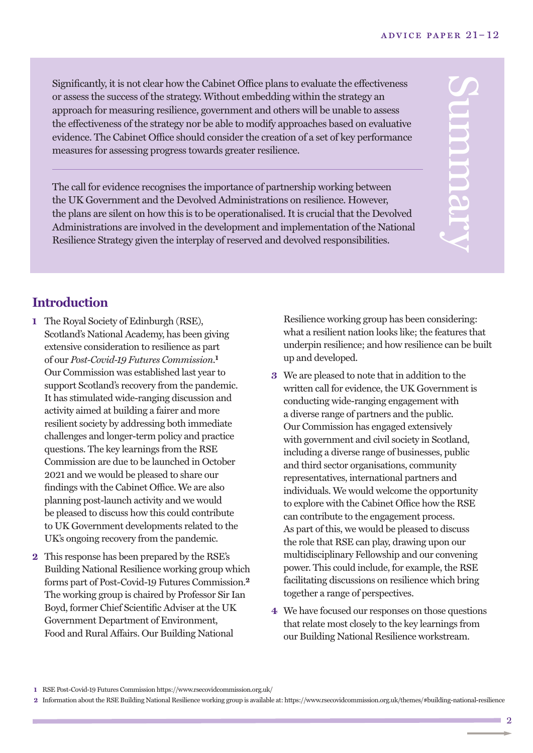Significantly, it is not clear how the Cabinet Office plans to evaluate the effectiveness or assess the success of the strategy. Without embedding within the strategy an approach for measuring resilience, government and others will be unable to assess the effectiveness of the strategy nor be able to modify approaches based on evaluative evidence. The Cabinet Office should consider the creation of a set of key performance measures for assessing progress towards greater resilience.

The call for evidence recognises the importance of partnership working between the UK Government and the Devolved Administrations on resilience. However, the plans are silent on how this is to be operationalised. It is crucial that the Devolved Administrations are involved in the development and implementation of the National Resilience Strategy given the interplay of reserved and devolved responsibilities.

## **Introduction**

- **1** The Royal Society of Edinburgh (RSE), Scotland's National Academy, has been giving extensive consideration to resilience as part of our *Post-Covid-19 Futures Commission*. **1** Our Commission was established last year to support Scotland's recovery from the pandemic. It has stimulated wide-ranging discussion and activity aimed at building a fairer and more resilient society by addressing both immediate challenges and longer-term policy and practice questions. The key learnings from the RSE Commission are due to be launched in October 2021 and we would be pleased to share our findings with the Cabinet Office. We are also planning post-launch activity and we would be pleased to discuss how this could contribute to UK Government developments related to the UK's ongoing recovery from the pandemic.
- **2** This response has been prepared by the RSE's Building National Resilience working group which forms part of Post-Covid-19 Futures Commission. **2** The working group is chaired by Professor Sir Ian Boyd, former Chief Scientific Adviser at the UK Government Department of Environment, Food and Rural Affairs. Our Building National

Resilience working group has been considering: what a resilient nation looks like; the features that underpin resilience; and how resilience can be built up and developed.

- **3** We are pleased to note that in addition to the written call for evidence, the UK Government is conducting wide-ranging engagement with a diverse range of partners and the public. Our Commission has engaged extensively with government and civil society in Scotland, including a diverse range of businesses, public and third sector organisations, community representatives, international partners and individuals. We would welcome the opportunity to explore with the Cabinet Office how the RSE can contribute to the engagement process. As part of this, we would be pleased to discuss the role that RSE can play, drawing upon our multidisciplinary Fellowship and our convening power. This could include, for example, the RSE facilitating discussions on resilience which bring together a range of perspectives.
- **4** We have focused our responses on those questions that relate most closely to the key learnings from our Building National Resilience workstream.

 $\overline{2}$ 

**<sup>1</sup>** RSE Post-Covid-19 Futures Commission https://www.rsecovidcommission.org.uk/

**<sup>2</sup>** Information about the RSE Building National Resilience working group is available at: https://www.rsecovidcommission.org.uk/themes/#building-national-resilience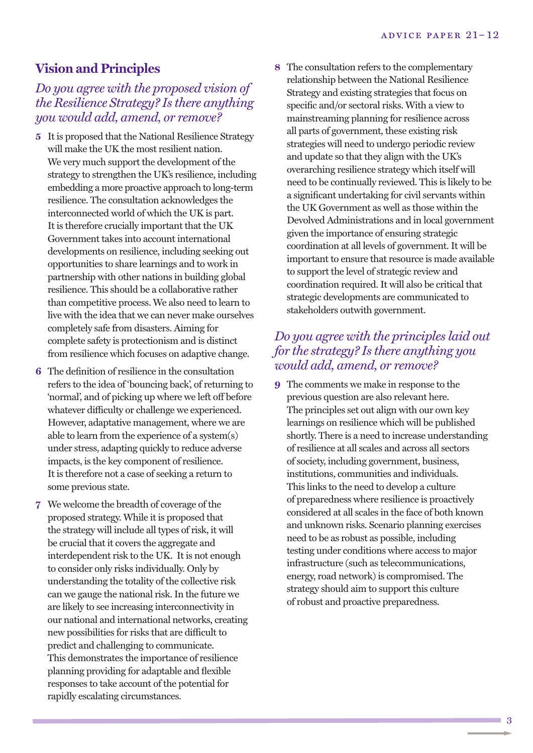### **Vision and Principles**

#### *Do you agree with the proposed vision of the Resilience Strategy? Is there anything you would add, amend, or remove?*

- **5** It is proposed that the National Resilience Strategy will make the UK the most resilient nation. We very much support the development of the strategy to strengthen the UK's resilience, including embedding a more proactive approach to long-term resilience. The consultation acknowledges the interconnected world of which the UK is part. It is therefore crucially important that the UK Government takes into account international developments on resilience, including seeking out opportunities to share learnings and to work in partnership with other nations in building global resilience. This should be a collaborative rather than competitive process. We also need to learn to live with the idea that we can never make ourselves completely safe from disasters. Aiming for complete safety is protectionism and is distinct from resilience which focuses on adaptive change.
- **6** The definition of resilience in the consultation refers to the idea of 'bouncing back', of returning to 'normal', and of picking up where we left off before whatever difficulty or challenge we experienced. However, adaptative management, where we are able to learn from the experience of a system(s) under stress, adapting quickly to reduce adverse impacts, is the key component of resilience. It is therefore not a case of seeking a return to some previous state.
- **7** We welcome the breadth of coverage of the proposed strategy. While it is proposed that the strategy will include all types of risk, it will be crucial that it covers the aggregate and interdependent risk to the UK. It is not enough to consider only risks individually. Only by understanding the totality of the collective risk can we gauge the national risk. In the future we are likely to see increasing interconnectivity in our national and international networks, creating new possibilities for risks that are difficult to predict and challenging to communicate. This demonstrates the importance of resilience planning providing for adaptable and flexible responses to take account of the potential for rapidly escalating circumstances.

**8** The consultation refers to the complementary relationship between the National Resilience Strategy and existing strategies that focus on specific and/or sectoral risks. With a view to mainstreaming planning for resilience across all parts of government, these existing risk strategies will need to undergo periodic review and update so that they align with the UK's overarching resilience strategy which itself will need to be continually reviewed. This is likely to be a significant undertaking for civil servants within the UK Government as well as those within the Devolved Administrations and in local government given the importance of ensuring strategic coordination at all levels of government. It will be important to ensure that resource is made available to support the level of strategic review and coordination required. It will also be critical that strategic developments are communicated to stakeholders outwith government.

#### *Do you agree with the principles laid out for the strategy? Is there anything you would add, amend, or remove?*

**9** The comments we make in response to the previous question are also relevant here. The principles set out align with our own key learnings on resilience which will be published shortly. There is a need to increase understanding of resilience at all scales and across all sectors of society, including government, business, institutions, communities and individuals. This links to the need to develop a culture of preparedness where resilience is proactively considered at all scales in the face of both known and unknown risks. Scenario planning exercises need to be as robust as possible, including testing under conditions where access to major infrastructure (such as telecommunications, energy, road network) is compromised. The strategy should aim to support this culture of robust and proactive preparedness.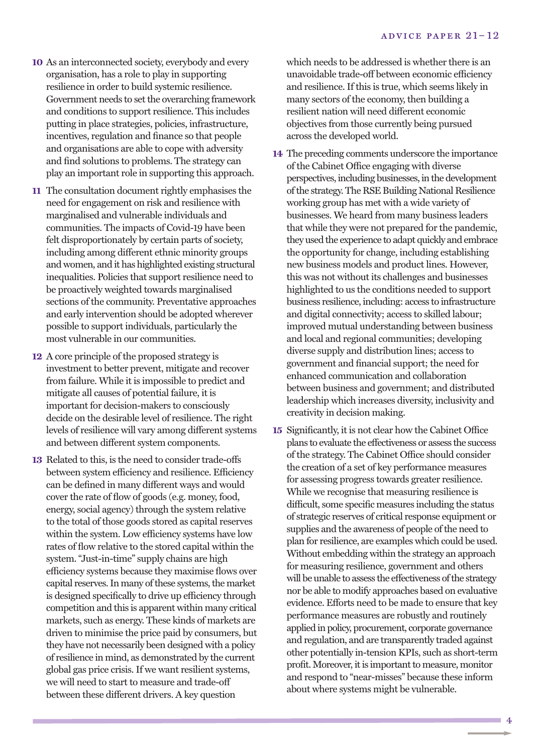- **10** As an interconnected society, everybody and every organisation, has a role to play in supporting resilience in order to build systemic resilience. Government needs to set the overarching framework and conditions to support resilience. This includes putting in place strategies, policies, infrastructure, incentives, regulation and finance so that people and organisations are able to cope with adversity and find solutions to problems. The strategy can play an important role in supporting this approach.
- **11** The consultation document rightly emphasises the need for engagement on risk and resilience with marginalised and vulnerable individuals and communities. The impacts of Covid-19 have been felt disproportionately by certain parts of society, including among different ethnic minority groups and women, and it has highlighted existing structural inequalities. Policies that support resilience need to be proactively weighted towards marginalised sections of the community. Preventative approaches and early intervention should be adopted wherever possible to support individuals, particularly the most vulnerable in our communities.
- **12** A core principle of the proposed strategy is investment to better prevent, mitigate and recover from failure. While it is impossible to predict and mitigate all causes of potential failure, it is important for decision-makers to consciously decide on the desirable level of resilience. The right levels of resilience will vary among different systems and between different system components.
- **13** Related to this, is the need to consider trade-offs between system efficiency and resilience. Efficiency can be defined in many different ways and would cover the rate of flow of goods (e.g. money, food, energy, social agency) through the system relative to the total of those goods stored as capital reserves within the system. Low efficiency systems have low rates of flow relative to the stored capital within the system. "Just-in-time" supply chains are high efficiency systems because they maximise flows over capital reserves. In many of these systems, the market is designed specifically to drive up efficiency through competition and this is apparent within many critical markets, such as energy. These kinds of markets are driven to minimise the price paid by consumers, but they have not necessarily been designed with a policy of resilience in mind, as demonstrated by the current global gas price crisis. If we want resilient systems, we will need to start to measure and trade-off between these different drivers. A key question

which needs to be addressed is whether there is an unavoidable trade-off between economic efficiency and resilience. If this is true, which seems likely in many sectors of the economy, then building a resilient nation will need different economic objectives from those currently being pursued across the developed world.

- **14** The preceding comments underscore the importance of the Cabinet Office engaging with diverse perspectives, including businesses, in the development of the strategy. The RSE Building National Resilience working group has met with a wide variety of businesses. We heard from many business leaders that while they were not prepared for the pandemic, they used the experience to adapt quickly and embrace the opportunity for change, including establishing new business models and product lines. However, this was not without its challenges and businesses highlighted to us the conditions needed to support business resilience, including: access to infrastructure and digital connectivity; access to skilled labour; improved mutual understanding between business and local and regional communities; developing diverse supply and distribution lines; access to government and financial support; the need for enhanced communication and collaboration between business and government; and distributed leadership which increases diversity, inclusivity and creativity in decision making.
- **15** Significantly, it is not clear how the Cabinet Office plans to evaluate the effectiveness or assess the success of the strategy. The Cabinet Office should consider the creation of a set of key performance measures for assessing progress towards greater resilience. While we recognise that measuring resilience is difficult, some specific measures including the status of strategic reserves of critical response equipment or supplies and the awareness of people of the need to plan for resilience, are examples which could be used. Without embedding within the strategy an approach for measuring resilience, government and others will be unable to assess the effectiveness of the strategy nor be able to modify approaches based on evaluative evidence. Efforts need to be made to ensure that key performance measures are robustly and routinely applied in policy, procurement, corporate governance and regulation, and are transparently traded against other potentially in-tension KPIs, such as short-term profit. Moreover, it is important to measure, monitor and respond to "near-misses" because these inform about where systems might be vulnerable.

4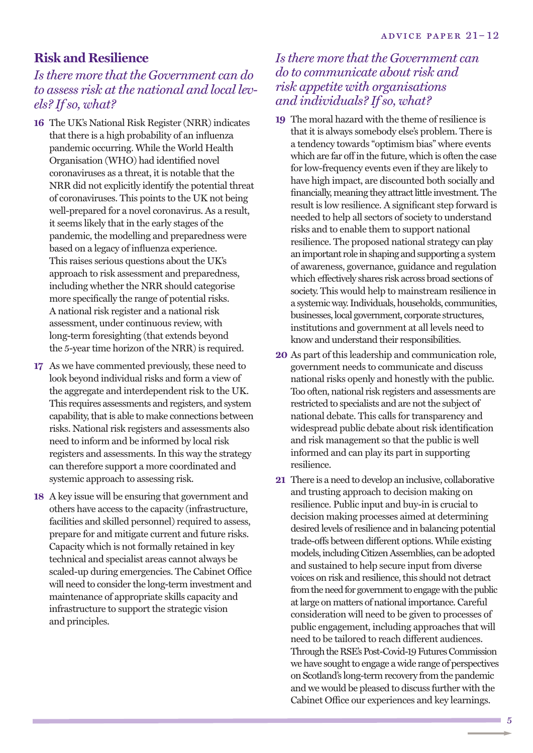#### **Risk and Resilience**

#### *Is there more that the Government can do to assess risk at the national and local levels? If so, what?*

- **16** The UK's National Risk Register (NRR) indicates that there is a high probability of an influenza pandemic occurring. While the World Health Organisation (WHO) had identified novel coronaviruses as a threat, it is notable that the NRR did not explicitly identify the potential threat of coronaviruses. This points to the UK not being well-prepared for a novel coronavirus. As a result, it seems likely that in the early stages of the pandemic, the modelling and preparedness were based on a legacy of influenza experience. This raises serious questions about the UK's approach to risk assessment and preparedness, including whether the NRR should categorise more specifically the range of potential risks. A national risk register and a national risk assessment, under continuous review, with long-term foresighting (that extends beyond the 5-year time horizon of the NRR) is required.
- **17** As we have commented previously, these need to look beyond individual risks and form a view of the aggregate and interdependent risk to the UK. This requires assessments and registers, and system capability, that is able to make connections between risks. National risk registers and assessments also need to inform and be informed by local risk registers and assessments. In this way the strategy can therefore support a more coordinated and systemic approach to assessing risk.
- **18** A key issue will be ensuring that government and others have access to the capacity (infrastructure, facilities and skilled personnel) required to assess, prepare for and mitigate current and future risks. Capacity which is not formally retained in key technical and specialist areas cannot always be scaled-up during emergencies. The Cabinet Office will need to consider the long-term investment and maintenance of appropriate skills capacity and infrastructure to support the strategic vision and principles.

#### *Is there more that the Government can do to communicate about risk and risk appetite with organisations and individuals? If so, what?*

- **19** The moral hazard with the theme of resilience is that it is always somebody else's problem. There is a tendency towards "optimism bias" where events which are far off in the future, which is often the case for low-frequency events even if they are likely to have high impact, are discounted both socially and financially, meaning they attract little investment. The result is low resilience. A significant step forward is needed to help all sectors of society to understand risks and to enable them to support national resilience. The proposed national strategy canplay animportant role inshaping andsupporting a system of awareness, governance, guidance and regulation which effectively shares risk across broad sections of society.This would help to mainstream resilience in a systemic way. Individuals, households, communities, businesses,local government, corporate structures, institutions and government at all levels need to know and understand their responsibilities.
- **20** As part of this leadership and communication role, government needs to communicate and discuss national risks openly and honestly with the public. Too often, national risk registers and assessments are restricted to specialists and are not the subject of national debate. This calls for transparency and widespread public debate about risk identification and risk management so that the public is well informed and can play its part in supporting resilience.
- **21** There is a need to develop an inclusive, collaborative and trusting approach to decision making on resilience. Public input and buy-in is crucial to decision making processes aimed at determining desired levels of resilience and in balancing potential trade-offs between different options.While existing models, including Citizen Assemblies, can be adopted and sustained to help secure input from diverse voices on risk and resilience, this should not detract from the need for government to engage with the public atlarge on matters of national importance. Careful consideration will need to be given to processes of public engagement, including approaches that will need to be tailored to reach different audiences. Through the RSE's Post-Covid-19 Futures Commission we have sought to engage a wide range of perspectives on Scotland's long-term recovery from the pandemic and we would be pleased to discuss further with the Cabinet Office our experiences and key learnings.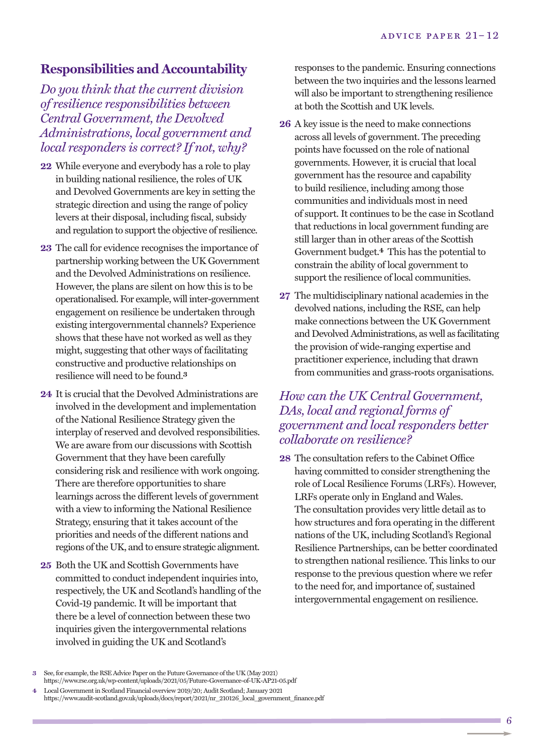#### **Responsibilities and Accountability**

*Do you think that the current division of resilience responsibilities between Central Government, the Devolved Administrations, local government and local responders is correct? If not, why?*

- **22** While everyone and everybody has a role to play in building national resilience, the roles of UK and Devolved Governments are key in setting the strategic direction and using the range of policy levers at their disposal, including fiscal, subsidy and regulation to support the objective of resilience.
- **23** The call for evidence recognises the importance of partnership working between the UK Government and the Devolved Administrations on resilience. However, the plans are silent on how this is to be operationalised. For example, will inter-government engagement on resilience be undertaken through existing intergovernmental channels? Experience shows that these have not worked as well as they might, suggesting that other ways of facilitating constructive and productive relationships on resilience will need to be found. **3**
- **24** It is crucial that the Devolved Administrations are involved in the development and implementation of the National Resilience Strategy given the interplay of reserved and devolved responsibilities. We are aware from our discussions with Scottish Government that they have been carefully considering risk and resilience with work ongoing. There are therefore opportunities to share learnings across the different levels of government with a view to informing the National Resilience Strategy, ensuring that it takes account of the priorities and needs of the different nations and regions of the UK, and to ensure strategic alignment.
- **25** Both the UK and Scottish Governments have committed to conduct independent inquiries into, respectively, the UK and Scotland's handling of the Covid-19 pandemic. It will be important that there be a level of connection between these two inquiries given the intergovernmental relations involved in guiding the UK and Scotland's

responses to the pandemic. Ensuring connections between the two inquiries and the lessons learned will also be important to strengthening resilience at both the Scottish and UK levels.

- **26** A key issue is the need to make connections across all levels of government. The preceding points have focussed on the role of national governments. However, it is crucial that local government has the resource and capability to build resilience, including among those communities and individuals most in need of support. It continues to be the case in Scotland that reductions in local government funding are still larger than in other areas of the Scottish Government budget. **4** This has the potential to constrain the ability of local government to support the resilience of local communities.
- **27** The multidisciplinary national academies in the devolved nations, including the RSE, can help make connections between the UK Government and Devolved Administrations, as well as facilitating the provision of wide-ranging expertise and practitioner experience, including that drawn from communities and grass-roots organisations.

#### *How can the UK Central Government, DAs, local and regional forms of government and local responders better collaborate on resilience?*

**28** The consultation refers to the Cabinet Office having committed to consider strengthening the role of Local Resilience Forums (LRFs). However, LRFs operate only in England and Wales. The consultation provides very little detail as to how structures and fora operating in the different nations of the UK, including Scotland's Regional Resilience Partnerships, can be better coordinated to strengthen national resilience. This links to our response to the previous question where we refer to the need for, and importance of, sustained intergovernmental engagement on resilience.

See, for example, the RSE Advice Paper on the Future Governance of the UK (May 2021) https://www.rse.org.uk/wp-content/uploads/2021/05/Future-Governance-of-UK-AP21-05.pdf

Local Government in Scotland Financial overview 2019/20; Audit Scotland; January 2021 https://www.audit-scotland.gov.uk/uploads/docs/report/2021/nr\_210126\_local\_government\_finance.pdf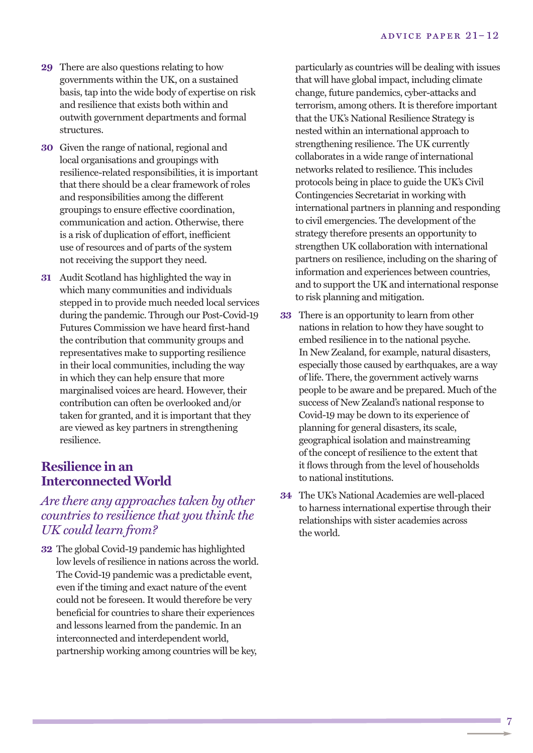- **29** There are also questions relating to how governments within the UK, on a sustained basis, tap into the wide body of expertise on risk and resilience that exists both within and outwith government departments and formal structures.
- **30** Given the range of national, regional and local organisations and groupings with resilience-related responsibilities, it is important that there should be a clear framework of roles and responsibilities among the different groupings to ensure effective coordination, communication and action. Otherwise, there is a risk of duplication of effort, inefficient use of resources and of parts of the system not receiving the support they need.
- **31** Audit Scotland has highlighted the way in which many communities and individuals stepped in to provide much needed local services during the pandemic. Through our Post-Covid-19 Futures Commission we have heard first-hand the contribution that community groups and representatives make to supporting resilience in their local communities, including the way in which they can help ensure that more marginalised voices are heard. However, their contribution can often be overlooked and/or taken for granted, and it is important that they are viewed as key partners in strengthening resilience.

#### **Resilience in an InterconnectedWorld**

#### *Are there any approaches taken by other countries to resilience that you think the UK could learn from?*

**32** The global Covid-19 pandemic has highlighted low levels of resilience in nations across the world. The Covid-19 pandemic was a predictable event, even if the timing and exact nature of the event could not be foreseen. It would therefore be very beneficial for countries to share their experiences and lessons learned from the pandemic. In an interconnected and interdependent world, partnership working among countries will be key,

particularly as countries will be dealing with issues that will have global impact, including climate change, future pandemics, cyber-attacks and terrorism, among others. It is therefore important that the UK's National Resilience Strategy is nested within an international approach to strengthening resilience. The UK currently collaborates in a wide range of international networks related to resilience. This includes protocols being in place to guide the UK's Civil Contingencies Secretariat in working with international partners in planning and responding to civil emergencies. The development of the strategy therefore presents an opportunity to strengthen UK collaboration with international partners on resilience, including on the sharing of information and experiences between countries, and to support the UK and international response to risk planning and mitigation.

- **33** There is an opportunity to learn from other nations in relation to how they have sought to embed resilience in to the national psyche. In New Zealand, for example, natural disasters, especially those caused by earthquakes, are a way of life. There, the government actively warns people to be aware and be prepared. Much of the success of New Zealand's national response to Covid-19 may be down to its experience of planning for general disasters, its scale, geographical isolation and mainstreaming of the concept of resilience to the extent that it flows through from the level of households to national institutions.
- **34** The UK's National Academies are well-placed to harness international expertise through their relationships with sister academies across the world.